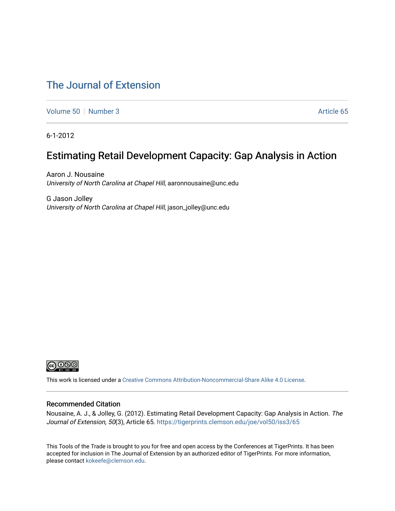# [The Journal of Extension](https://tigerprints.clemson.edu/joe)

[Volume 50](https://tigerprints.clemson.edu/joe/vol50) [Number 3](https://tigerprints.clemson.edu/joe/vol50/iss3) Article 65

6-1-2012

# Estimating Retail Development Capacity: Gap Analysis in Action

Aaron J. Nousaine University of North Carolina at Chapel Hill, aaronnousaine@unc.edu

G Jason Jolley University of North Carolina at Chapel Hill, jason\_jolley@unc.edu



This work is licensed under a [Creative Commons Attribution-Noncommercial-Share Alike 4.0 License.](https://creativecommons.org/licenses/by-nc-sa/4.0/)

#### Recommended Citation

Nousaine, A. J., & Jolley, G. (2012). Estimating Retail Development Capacity: Gap Analysis in Action. The Journal of Extension, 50(3), Article 65. https://tigerprints.clemson.edu/joe/vol50/iss3/65

This Tools of the Trade is brought to you for free and open access by the Conferences at TigerPrints. It has been accepted for inclusion in The Journal of Extension by an authorized editor of TigerPrints. For more information, please contact [kokeefe@clemson.edu](mailto:kokeefe@clemson.edu).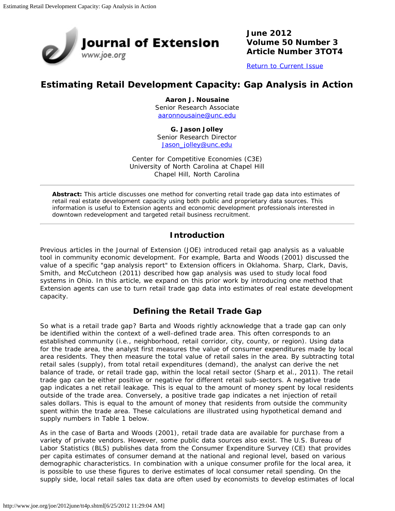

**June 2012 Volume 50 Number 3 Article Number 3TOT4**

[Return to Current Issue](http://www.joe.org/joe/2012june/)

## **Estimating Retail Development Capacity: Gap Analysis in Action**

**Aaron J. Nousaine** Senior Research Associate [aaronnousaine@unc.edu](mailto:aaronnousaine@unc.edu)

**G. Jason Jolley** Senior Research Director [Jason\\_jolley@unc.edu](mailto:Jason_jolley@unc.edu)

Center for Competitive Economies (C3E) University of North Carolina at Chapel Hill Chapel Hill, North Carolina

*Abstract: This article discusses one method for converting retail trade gap data into estimates of retail real estate development capacity using both public and proprietary data sources. This information is useful to Extension agents and economic development professionals interested in downtown redevelopment and targeted retail business recruitment.*

### **Introduction**

Previous articles in the *Journal of Extension* (JOE) introduced retail gap analysis as a valuable tool in community economic development. For example, Barta and Woods (2001) discussed the value of a specific "gap analysis report" to Extension officers in Oklahoma. Sharp, Clark, Davis, Smith, and McCutcheon (2011) described how gap analysis was used to study local food systems in Ohio. In this article, we expand on this prior work by introducing one method that Extension agents can use to turn retail trade gap data into estimates of real estate development capacity.

## **Defining the Retail Trade Gap**

So what is a retail trade gap? Barta and Woods rightly acknowledge that a trade gap can only be identified within the context of a well-defined trade area. This often corresponds to an established community (i.e., neighborhood, retail corridor, city, county, or region). Using data for the trade area, the analyst first measures the value of consumer expenditures made by local area residents. They then measure the total value of retail sales in the area. By subtracting total retail sales (supply), from total retail expenditures (demand), the analyst can derive the net balance of trade, or retail trade gap, within the local retail sector (Sharp et al., 2011). The retail trade gap can be either positive or negative for different retail sub-sectors. A negative trade gap indicates a net retail leakage. This is equal to the amount of money spent by local residents outside of the trade area. Conversely, a positive trade gap indicates a net injection of retail sales dollars. This is equal to the amount of money that residents from outside the community spent within the trade area. These calculations are illustrated using hypothetical demand and supply numbers in Table 1 below.

As in the case of Barta and Woods (2001), retail trade data are available for purchase from a variety of private vendors. However, some public data sources also exist. The U.S. Bureau of Labor Statistics (BLS) publishes data from the Consumer Expenditure Survey (CE) that provides per capita estimates of consumer demand at the national and regional level, based on various demographic characteristics. In combination with a unique consumer profile for the local area, it is possible to use these figures to derive estimates of local consumer retail spending. On the supply side, local retail sales tax data are often used by economists to develop estimates of local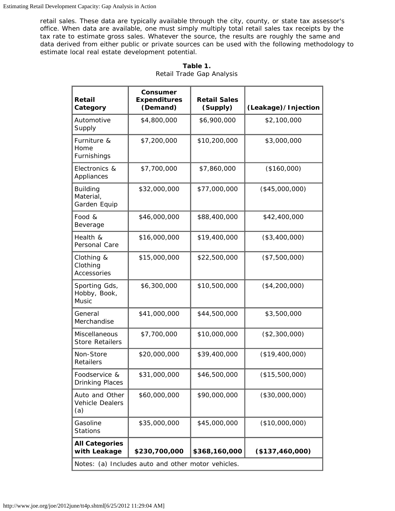retail sales. These data are typically available through the city, county, or state tax assessor's office. When data are available, one must simply multiply total retail sales tax receipts by the tax rate to estimate gross sales. Whatever the source, the results are roughly the same and data derived from either public or private sources can be used with the following methodology to estimate local real estate development potential.

| Retail<br>Category                              | Consumer<br><b>Expenditures</b><br>(Demand)                         | <b>Retail Sales</b><br>(Supply) | (Leakage)/Injection |  |
|-------------------------------------------------|---------------------------------------------------------------------|---------------------------------|---------------------|--|
| Automotive<br>Supply                            | \$4,800,000                                                         | \$6,900,000                     | \$2,100,000         |  |
| Furniture &<br>Home<br>Furnishings              | \$7,200,000                                                         | \$10,200,000                    | \$3,000,000         |  |
| Electronics &<br>Appliances                     | \$7,700,000                                                         | \$7,860,000                     | (\$160,000)         |  |
| <b>Building</b><br>Material,<br>Garden Equip    | \$32,000,000                                                        | \$77,000,000                    | $(*45,000,000)$     |  |
| Food &<br>Beverage                              | \$46,000,000                                                        | \$88,400,000                    | \$42,400,000        |  |
| Health &<br>Personal Care                       | \$16,000,000                                                        | \$19,400,000                    | (\$3,400,000)       |  |
| Clothing &<br>Clothing<br>Accessories           | \$15,000,000                                                        | \$22,500,000                    | (\$7,500,000)       |  |
| Sporting Gds,<br>Hobby, Book,<br>Music          | \$6,300,000                                                         | \$10,500,000                    | (\$4,200,000)       |  |
| General<br>Merchandise                          | \$41,000,000                                                        | \$44,500,000                    | \$3,500,000         |  |
| Miscellaneous<br><b>Store Retailers</b>         | \$7,700,000                                                         | \$10,000,000                    | (\$2,300,000)       |  |
| Non-Store<br>Retailers                          | \$20,000,000                                                        | \$39,400,000                    | (\$19,400,000)      |  |
| Foodservice &<br><b>Drinking Places</b>         | \$31,000,000                                                        | \$46,500,000                    | (\$15,500,000)      |  |
| Auto and Other<br><b>Vehicle Dealers</b><br>(a) | \$60,000,000                                                        | \$90,000,000                    | (\$30,000,000)      |  |
| Gasoline<br><b>Stations</b>                     | \$35,000,000                                                        | \$45,000,000                    | (\$10,000,000)      |  |
| <b>All Categories</b><br>with Leakage           | \$230,700,000<br>Notes: (a) Includes auto and other motor vehicles. | \$368,160,000                   | (\$137,460,000)     |  |

**Table 1.** Retail Trade Gap Analysis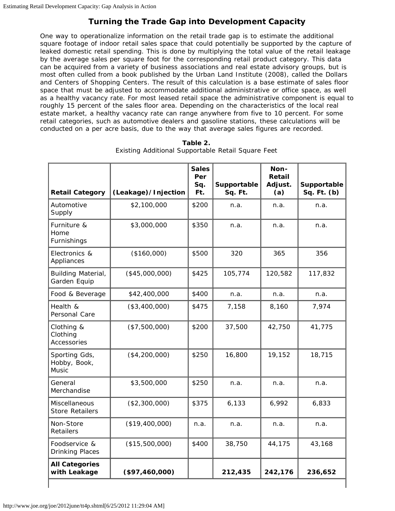## **Turning the Trade Gap into Development Capacity**

One way to operationalize information on the retail trade gap is to estimate the additional square footage of indoor retail sales space that could potentially be supported by the capture of leaked domestic retail spending. This is done by multiplying the total value of the retail leakage by the average sales per square foot for the corresponding retail product category. This data can be acquired from a variety of business associations and real estate advisory groups, but is most often culled from a book published by the Urban Land Institute (2008), called the *Dollars and Centers of Shopping Centers*. The result of this calculation is a base estimate of sales floor space that must be adjusted to accommodate additional administrative or office space, as well as a healthy vacancy rate. For most leased retail space the administrative component is equal to roughly 15 percent of the sales floor area. Depending on the characteristics of the local real estate market, a healthy vacancy rate can range anywhere from five to 10 percent. For some retail categories, such as automotive dealers and gasoline stations, these calculations will be conducted on a per acre basis, due to the way that average sales figures are recorded.

| <b>Retail Category</b>                  | (Leakage)/Injection | <b>Sales</b><br>Per<br>Sq.<br>Ft. | Supportable<br>Sq. Ft. | Non-<br><b>Retail</b><br>Adjust.<br>(a) | Supportable<br>Sq. Ft. (b) |
|-----------------------------------------|---------------------|-----------------------------------|------------------------|-----------------------------------------|----------------------------|
| Automotive<br>Supply                    | \$2,100,000         | \$200                             | n.a.                   | n.a.                                    | n.a.                       |
| Furniture &<br>Home<br>Furnishings      | \$3,000,000         | \$350                             | n.a.                   | n.a.                                    | n.a.                       |
| Electronics &<br>Appliances             | (\$160,000)         | \$500                             | 320                    | 365                                     | 356                        |
| Building Material,<br>Garden Equip      | (\$45,000,000)      | \$425                             | 105,774                | 120,582                                 | 117,832                    |
| Food & Beverage                         | \$42,400,000        | \$400                             | n.a.                   | n.a.                                    | n.a.                       |
| Health &<br>Personal Care               | (\$3,400,000)       | \$475                             | 7,158                  | 8.160                                   | 7,974                      |
| Clothing &<br>Clothing<br>Accessories   | (\$7,500,000)       | \$200                             | 37,500                 | 42,750                                  | 41,775                     |
| Sporting Gds,<br>Hobby, Book,<br>Music  | (\$4,200,000)       | \$250                             | 16,800                 | 19,152                                  | 18,715                     |
| General<br>Merchandise                  | \$3,500,000         | \$250                             | n.a.                   | n.a.                                    | n.a.                       |
| Miscellaneous<br><b>Store Retailers</b> | (\$2,300,000)       | \$375                             | 6,133                  | 6,992                                   | 6,833                      |
| Non-Store<br><b>Retailers</b>           | (\$19,400,000)      | n.a.                              | n.a.                   | n.a.                                    | n.a.                       |
| Foodservice &<br><b>Drinking Places</b> | (\$15,500,000)      | \$400                             | 38,750                 | 44,175                                  | 43,168                     |
| <b>All Categories</b><br>with Leakage   | (\$97,460,000)      |                                   | 212,435                | 242,176                                 | 236,652                    |

#### **Table 2.** Existing Additional Supportable Retail Square Feet